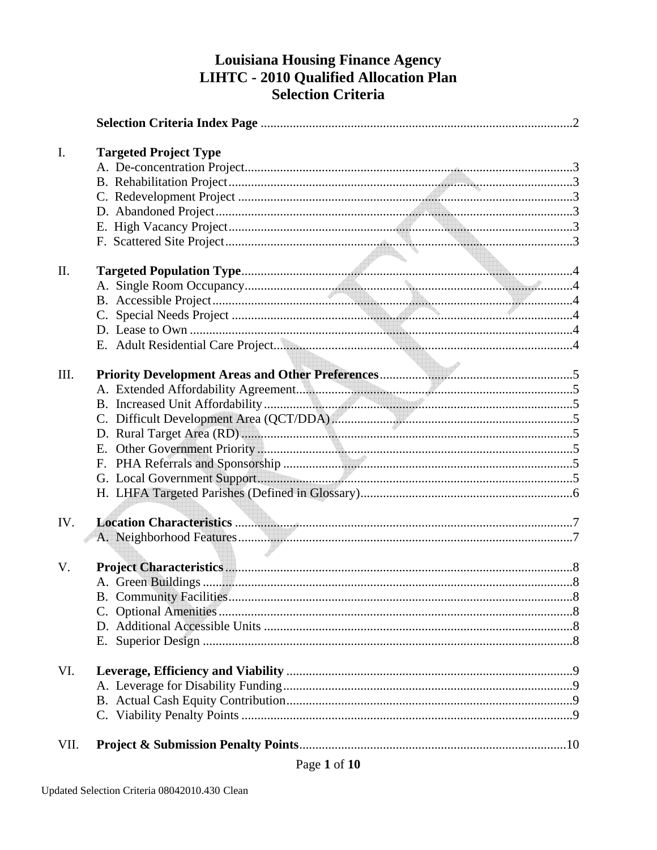# **Louisiana Housing Finance Agency** LIHTC - 2010 Qualified Allocation Plan **Selection Criteria**

| I.   | <b>Targeted Project Type</b> |  |
|------|------------------------------|--|
|      |                              |  |
|      |                              |  |
|      |                              |  |
|      |                              |  |
|      |                              |  |
|      |                              |  |
|      |                              |  |
| II.  |                              |  |
|      |                              |  |
|      |                              |  |
|      |                              |  |
|      |                              |  |
|      |                              |  |
|      |                              |  |
| III. |                              |  |
|      |                              |  |
|      |                              |  |
|      |                              |  |
|      |                              |  |
|      |                              |  |
|      |                              |  |
|      |                              |  |
|      |                              |  |
|      |                              |  |
| IV.  |                              |  |
|      |                              |  |
|      |                              |  |
| V.   |                              |  |
|      |                              |  |
|      |                              |  |
|      |                              |  |
|      |                              |  |
|      |                              |  |
|      |                              |  |
| VI.  |                              |  |
|      |                              |  |
|      |                              |  |
|      |                              |  |
| VII. |                              |  |
|      |                              |  |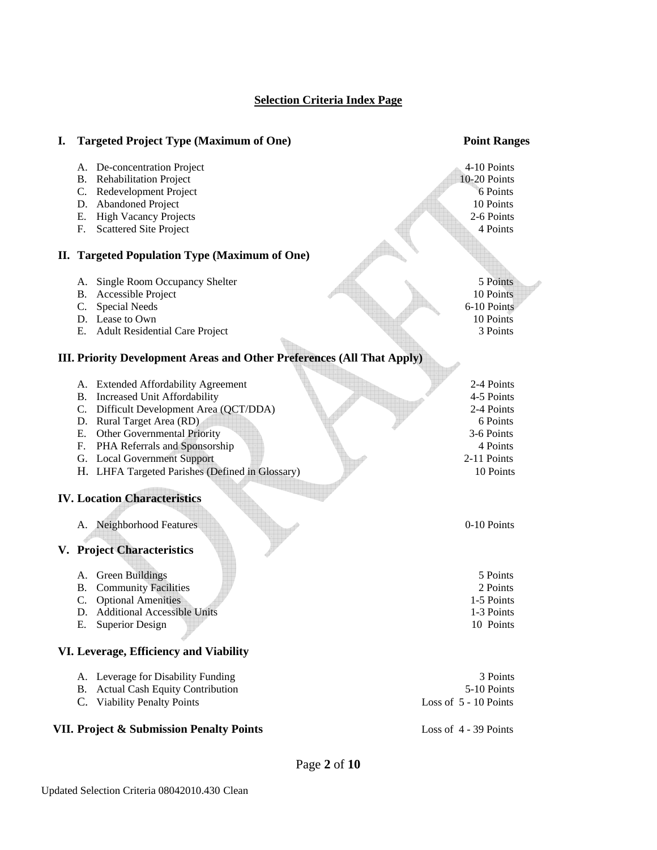## **Selection Criteria Index Page**

| I. | <b>Targeted Project Type (Maximum of One)</b>                                                                                                                                                                                                                                                                             | <b>Point Ranges</b>                                                                                      |
|----|---------------------------------------------------------------------------------------------------------------------------------------------------------------------------------------------------------------------------------------------------------------------------------------------------------------------------|----------------------------------------------------------------------------------------------------------|
|    | A. De-concentration Project<br><b>B.</b> Rehabilitation Project<br>Redevelopment Project<br>C.                                                                                                                                                                                                                            | 4-10 Points<br>10-20 Points<br>6 Points                                                                  |
|    | D. Abandoned Project<br><b>High Vacancy Projects</b><br>Е.<br><b>Scattered Site Project</b><br>F.                                                                                                                                                                                                                         | 10 Points<br>2-6 Points<br>4 Points                                                                      |
|    | II. Targeted Population Type (Maximum of One)                                                                                                                                                                                                                                                                             |                                                                                                          |
|    | Single Room Occupancy Shelter<br>А.<br>Accessible Project<br><b>B.</b><br><b>Special Needs</b><br>C.<br>D. Lease to Own<br>Е.<br><b>Adult Residential Care Project</b>                                                                                                                                                    | 5 Points<br>10 Points<br>6-10 Points<br>10 Points<br>3 Points                                            |
|    | <b>III. Priority Development Areas and Other Preferences (All That Apply)</b>                                                                                                                                                                                                                                             |                                                                                                          |
|    | A. Extended Affordability Agreement<br>Increased Unit Affordability<br>В.<br>Difficult Development Area (QCT/DDA)<br>C.<br>D. Rural Target Area (RD)<br>Е.<br><b>Other Governmental Priority</b><br>F.<br>PHA Referrals and Sponsorship<br>G. Local Government Support<br>H. LHFA Targeted Parishes (Defined in Glossary) | 2-4 Points<br>4-5 Points<br>2-4 Points<br>6 Points<br>3-6 Points<br>4 Points<br>2-11 Points<br>10 Points |
|    | <b>IV. Location Characteristics</b>                                                                                                                                                                                                                                                                                       |                                                                                                          |
|    | A. Neighborhood Features<br>V. Project Characteristics                                                                                                                                                                                                                                                                    | 0-10 Points                                                                                              |
|    | <b>Green Buildings</b><br>А.<br><b>Community Facilities</b><br>Β.<br>C.<br><b>Optional Amenities</b><br>D. Additional Accessible Units<br><b>Superior Design</b><br>Е.                                                                                                                                                    | 5 Points<br>2 Points<br>1-5 Points<br>1-3 Points<br>10 Points                                            |
|    | VI. Leverage, Efficiency and Viability                                                                                                                                                                                                                                                                                    |                                                                                                          |
|    | A. Leverage for Disability Funding<br>B. Actual Cash Equity Contribution<br>C. Viability Penalty Points                                                                                                                                                                                                                   | 3 Points<br>5-10 Points<br>Loss of 5 - 10 Points                                                         |
|    | VII. Project & Submission Penalty Points                                                                                                                                                                                                                                                                                  | Loss of $4 - 39$ Points                                                                                  |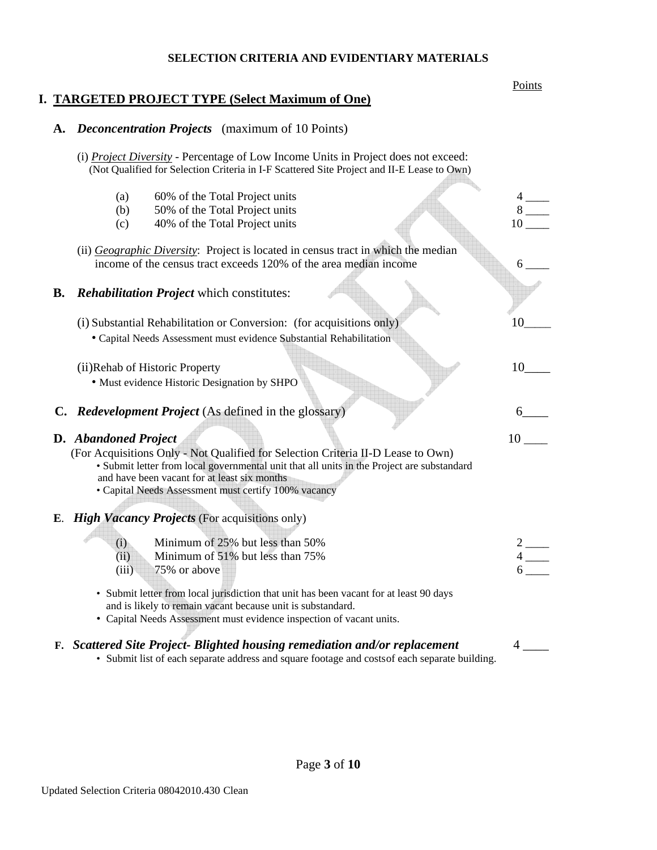#### **SELECTION CRITERIA AND EVIDENTIARY MATERIALS**

#### **Points I. TARGETED PROJECT TYPE (Select Maximum of One)**

### **A.** *Deconcentration Projects* (maximum of 10 Points)

- (i) *Project Diversity* Percentage of Low Income Units in Project does not exceed: (Not Qualified for Selection Criteria in I-F Scattered Site Project and II-E Lease to Own)
- (a)  $60\%$  of the Total Project units (b)  $50\%$  of the Total Project units  $8$ (c)  $40\%$  of the Total Project units 10 (ii) *Geographic Diversity*: Project is located in census tract in which the median income of the census tract exceeds 120% of the area median income  $\qquad 6 \qquad$ **B.** *Rehabilitation Project* which constitutes: (i) Substantial Rehabilitation or Conversion: (for acquisitions only)  $10$ • Capital Needs Assessment must evidence Substantial Rehabilitation (ii)Rehab of Historic Property 10 • Must evidence Historic Designation by SHPO  **C.** *Redevelopment Project* (As defined in the glossary) 6\_\_\_\_ **D.** *Abandoned Project* 10 \_\_\_\_ (For Acquisitions Only - Not Qualified for Selection Criteria II-D Lease to Own) • Submit letter from local governmental unit that all units in the Project are substandard and have been vacant for at least six months • Capital Needs Assessment must certify 100% vacancy **<sup>E</sup>**. *High Vacancy Projects* (For acquisitions only) (i) Minimum of 25% but less than 50%  $2 \longrightarrow 2$   $\longrightarrow 4$  $(ii)$  Minimum of 51% but less than 75%  $(iii)$  75% or above • Submit letter from local jurisdiction that unit has been vacant for at least 90 days and is likely to remain vacant because unit is substandard. • Capital Needs Assessment must evidence inspection of vacant units. **F.** Scattered Site Project- Blighted housing remediation and/or replacement • Submit list of each separate address and square footage and costs of each separate building.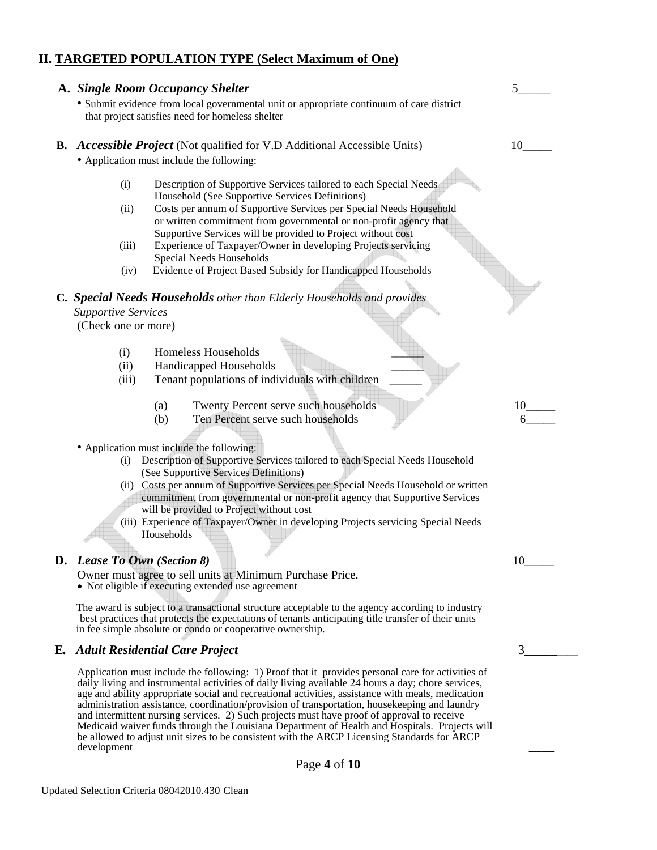## **II. TARGETED POPULATION TYPE (Select Maximum of One)**

|                                                   | A. Single Room Occupancy Shelter<br>· Submit evidence from local governmental unit or appropriate continuum of care district<br>that project satisfies need for homeless shelter                                                                                                                                                                                                                                                                                                                            |    |
|---------------------------------------------------|-------------------------------------------------------------------------------------------------------------------------------------------------------------------------------------------------------------------------------------------------------------------------------------------------------------------------------------------------------------------------------------------------------------------------------------------------------------------------------------------------------------|----|
|                                                   | <b>B.</b> Accessible Project (Not qualified for V.D Additional Accessible Units)<br>• Application must include the following:                                                                                                                                                                                                                                                                                                                                                                               | 10 |
| (i)<br>(ii)<br>(iii)<br>(iv)                      | Description of Supportive Services tailored to each Special Needs<br>Household (See Supportive Services Definitions)<br>Costs per annum of Supportive Services per Special Needs Household<br>or written commitment from governmental or non-profit agency that<br>Supportive Services will be provided to Project without cost<br>Experience of Taxpayer/Owner in developing Projects servicing<br>Special Needs Households<br>Evidence of Project Based Subsidy for Handicapped Households                |    |
| <b>Supportive Services</b><br>(Check one or more) | C. Special Needs Households other than Elderly Households and provides                                                                                                                                                                                                                                                                                                                                                                                                                                      |    |
| (i)<br>(ii)<br>(iii)                              | Homeless Households<br>Handicapped Households<br>Tenant populations of individuals with children                                                                                                                                                                                                                                                                                                                                                                                                            |    |
|                                                   | Twenty Percent serve such households<br>(a)<br>Ten Percent serve such households<br>(b)                                                                                                                                                                                                                                                                                                                                                                                                                     | 10 |
| (i)                                               | • Application must include the following:<br>Description of Supportive Services tailored to each Special Needs Household<br>(See Supportive Services Definitions)<br>(ii) Costs per annum of Supportive Services per Special Needs Household or written<br>commitment from governmental or non-profit agency that Supportive Services<br>will be provided to Project without cost<br>(iii) Experience of Taxpayer/Owner in developing Projects servicing Special Needs<br>Households                        |    |
| <b>D.</b> Lease To Own (Section 8)                | Owner must agree to sell units at Minimum Purchase Price.<br>• Not eligible if executing extended use agreement                                                                                                                                                                                                                                                                                                                                                                                             | 10 |
|                                                   | The award is subject to a transactional structure acceptable to the agency according to industry<br>best practices that protects the expectations of tenants anticipating title transfer of their units<br>in fee simple absolute or condo or cooperative ownership.                                                                                                                                                                                                                                        |    |
| Е.                                                | <b>Adult Residential Care Project</b>                                                                                                                                                                                                                                                                                                                                                                                                                                                                       | 3  |
|                                                   | Application must include the following: 1) Proof that it provides personal care for activities of<br>daily living and instrumental activities of daily living available 24 hours a day; chore services,<br>age and ability appropriate social and recreational activities, assistance with meals, medication<br>administration assistance, coordination/provision of transportation, housekeeping and laundry<br>and intermittent nursing services. 2) Such projects must have proof of approval to receive |    |

Page **4** of **10** 

development \_\_\_\_

Medicaid waiver funds through the Louisiana Department of Health and Hospitals. Projects will be allowed to adjust unit sizes to be consistent with the ARCP Licensing Standards for ARCP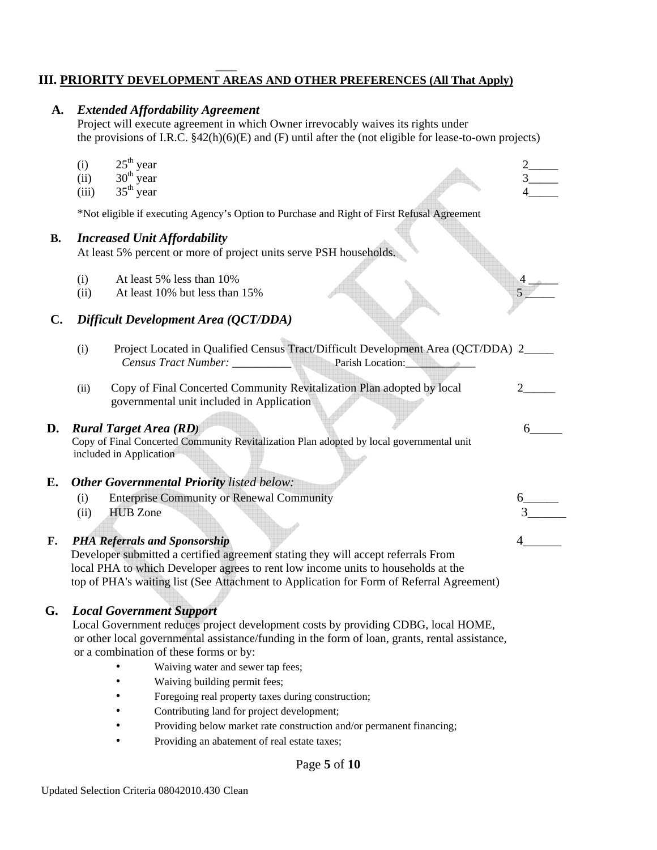### \_\_\_\_ **III. PRIORITY DEVELOPMENT AREAS AND OTHER PREFERENCES (All That Apply)**

## **A.** *Extended Affordability Agreement*

Project will execute agreement in which Owner irrevocably waives its rights under the provisions of I.R.C. §42(h)(6)(E) and (F) until after the (not eligible for lease-to-own projects)

- (i)  $25^{\text{th}}$  year  $2$  2
- (ii)  $30^{\text{th}}$  year  $3\frac{3}{\text{th}}$
- (iii)  $35^{\text{th}}$  year  $4$  4

\*Not eligible if executing Agency's Option to Purchase and Right of First Refusal Agreement

#### **B.** *Increased Unit Affordability*

At least 5% percent or more of project units serve PSH households.

- (i) At least  $5\%$  less than  $10\%$
- (ii) At least 10% but less than  $15\%$  5

## **C.** *Difficult Development Area (QCT/DDA)*

|    | (i)  | Project Located in Qualified Census Tract/Difficult Development Area (QCT/DDA) 2         |  |
|----|------|------------------------------------------------------------------------------------------|--|
|    |      |                                                                                          |  |
|    | (ii) | Copy of Final Concerted Community Revitalization Plan adopted by local                   |  |
|    |      | governmental unit included in Application                                                |  |
|    |      |                                                                                          |  |
| D. |      | <b>Rural Target Area (RD)</b>                                                            |  |
|    |      | Copy of Final Concerted Community Revitalization Plan adopted by local governmental unit |  |
|    |      | included in Application                                                                  |  |
|    |      |                                                                                          |  |
| Е. |      | <b>Other Governmental Priority listed below:</b>                                         |  |
|    | (i)  | <b>Enterprise Community or Renewal Community</b>                                         |  |
|    | (ii) | <b>HUB</b> Zone                                                                          |  |
|    |      |                                                                                          |  |
| F. |      | <b>PHA Referrals and Sponsorship</b>                                                     |  |
|    |      | Developer submitted a certified agreement stating they will accept referrals From        |  |
|    |      | local PHA to which Developer agrees to rent low income units to households at the        |  |
|    |      | top of PHA's waiting list (See Attachment to Application for Form of Referral Agreement) |  |
|    |      |                                                                                          |  |
|    |      |                                                                                          |  |

## **G.** *Local Government Support*

Local Government reduces project development costs by providing CDBG, local HOME, or other local governmental assistance/funding in the form of loan, grants, rental assistance, or a combination of these forms or by:

- Waiving water and sewer tap fees;
- Waiving building permit fees;
- Foregoing real property taxes during construction;
- Contributing land for project development;
- Providing below market rate construction and/or permanent financing;
- Providing an abatement of real estate taxes;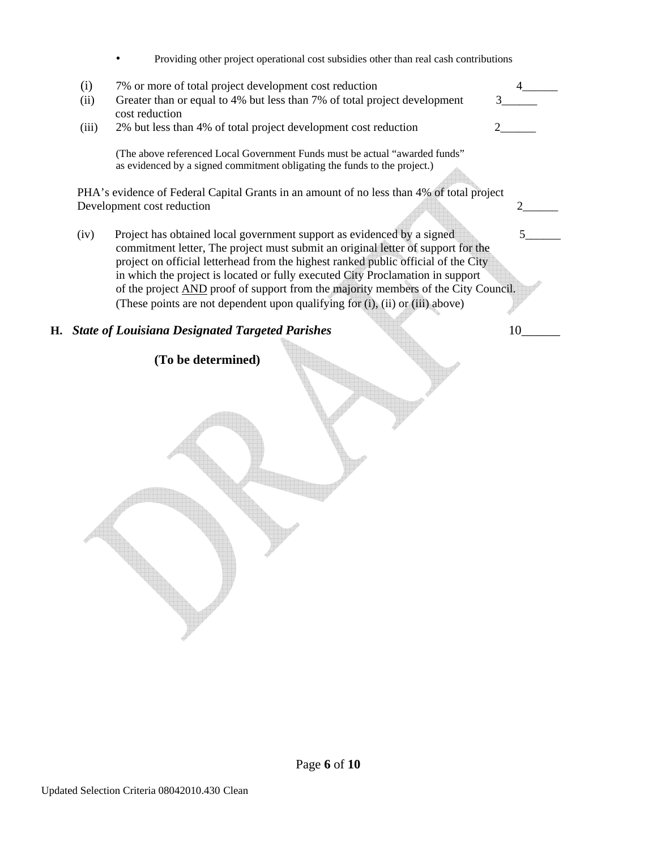|  |  |  |  |  |  |  |  | Providing other project operational cost subsidies other than real cash contributions |
|--|--|--|--|--|--|--|--|---------------------------------------------------------------------------------------|
|--|--|--|--|--|--|--|--|---------------------------------------------------------------------------------------|

|    | (i)   | 7% or more of total project development cost reduction                                                                                                                                                                                                                                                                                                                                                                   |    |
|----|-------|--------------------------------------------------------------------------------------------------------------------------------------------------------------------------------------------------------------------------------------------------------------------------------------------------------------------------------------------------------------------------------------------------------------------------|----|
|    | (ii)  | Greater than or equal to 4% but less than 7% of total project development<br>cost reduction                                                                                                                                                                                                                                                                                                                              |    |
|    | (iii) | 2% but less than 4% of total project development cost reduction                                                                                                                                                                                                                                                                                                                                                          |    |
|    |       | (The above referenced Local Government Funds must be actual "awarded funds"<br>as evidenced by a signed commitment obligating the funds to the project.)                                                                                                                                                                                                                                                                 |    |
|    |       | PHA's evidence of Federal Capital Grants in an amount of no less than 4% of total project                                                                                                                                                                                                                                                                                                                                |    |
|    |       | Development cost reduction                                                                                                                                                                                                                                                                                                                                                                                               |    |
|    | (iv)  | Project has obtained local government support as evidenced by a signed<br>commitment letter, The project must submit an original letter of support for the<br>project on official letterhead from the highest ranked public official of the City<br>in which the project is located or fully executed City Proclamation in support<br>of the project AND proof of support from the majority members of the City Council. |    |
|    |       | (These points are not dependent upon qualifying for (i), (ii) or (iii) above)                                                                                                                                                                                                                                                                                                                                            |    |
| Н. |       | <b>State of Louisiana Designated Targeted Parishes</b>                                                                                                                                                                                                                                                                                                                                                                   | 10 |
|    |       | (To be determined)                                                                                                                                                                                                                                                                                                                                                                                                       |    |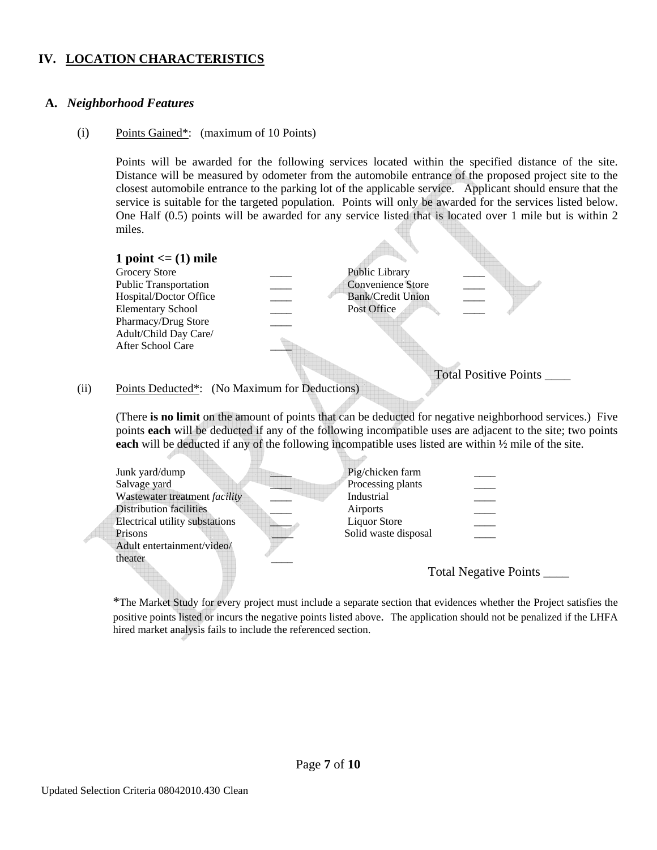## **IV. LOCATION CHARACTERISTICS**

## **A.** *Neighborhood Features*

#### (i) Points Gained\*: (maximum of 10 Points)

Points will be awarded for the following services located within the specified distance of the site. Distance will be measured by odometer from the automobile entrance of the proposed project site to the closest automobile entrance to the parking lot of the applicable service. Applicant should ensure that the service is suitable for the targeted population. Points will only be awarded for the services listed below. One Half (0.5) points will be awarded for any service listed that is located over 1 mile but is within 2 miles.

**1 point <= (1) mile**  Grocery Store **Example 2018** Public Library Public Transportation \_\_\_\_ Convenience Store Hospital/Doctor Office Bank/Credit Union Elementary School \_\_\_\_ Post Office Pharmacy/Drug Store Adult/Child Day Care/ After School Care \_\_\_\_ Total Positive Points \_\_\_\_

#### (ii) Points Deducted\*: (No Maximum for Deductions)

(There **is no limit** on the amount of points that can be deducted for negative neighborhood services.) Five points **each** will be deducted if any of the following incompatible uses are adjacent to the site; two points **each** will be deducted if any of the following incompatible uses listed are within  $\frac{1}{2}$  mile of the site.

| Junk yard/dump                 | Pig/chicken farm     |                       |
|--------------------------------|----------------------|-----------------------|
| Salvage yard                   | Processing plants    |                       |
| Wastewater treatment facility  | Industrial           |                       |
| <b>Distribution facilities</b> | Airports             |                       |
| Electrical utility substations | <b>Liquor Store</b>  |                       |
| Prisons                        | Solid waste disposal |                       |
| Adult entertainment/video/     |                      |                       |
| theater                        |                      |                       |
|                                |                      | Total Negative Points |
|                                |                      |                       |

\*The Market Study for every project must include a separate section that evidences whether the Project satisfies the positive points listed or incurs the negative points listed above. The application should not be penalized if the LHFA hired market analysis fails to include the referenced section.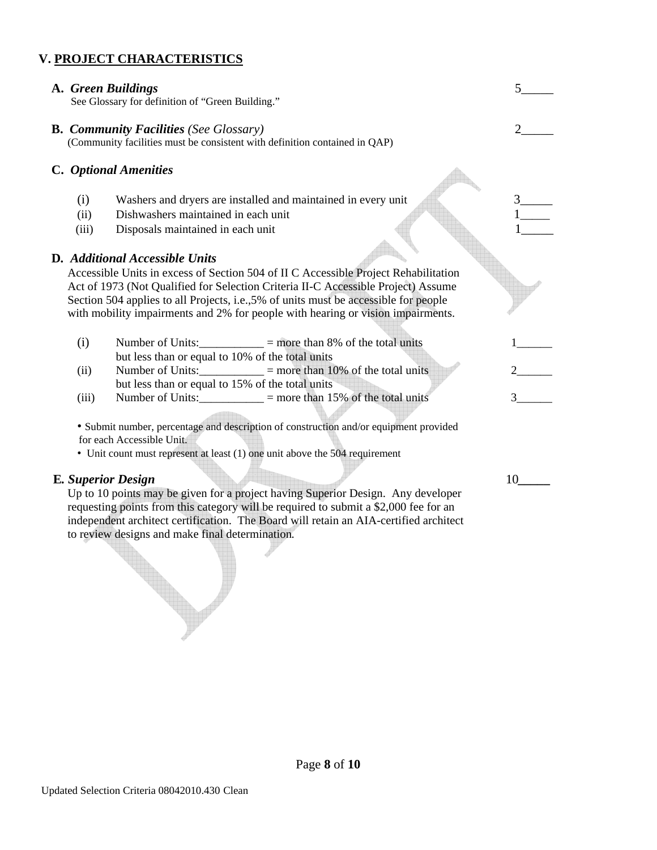## **V. PROJECT CHARACTERISTICS**

**A.** *Green Buildings* 5\_\_\_\_\_\_ 5\_\_\_\_\_\_ See Glossary for definition of "Green Building."

 **B.** *Community Facilities (See Glossary)* 2\_\_\_\_\_ (Community facilities must be consistent with definition contained in QAP)

## **C.** *Optional Amenities*

- (i) Washers and dryers are installed and maintained in every unit
- (ii) Dishwashers maintained in each unit
- (iii) Disposals maintained in each unit

## **D***. Additional Accessible Units*

Accessible Units in excess of Section 504 of II C Accessible Project Rehabilitation Act of 1973 (Not Qualified for Selection Criteria II-C Accessible Project) Assume Section 504 applies to all Projects, i.e.,5% of units must be accessible for people with mobility impairments and 2% for people with hearing or vision impairments.

|      | Number of Units:                                 | $=$ more than 8% of the total units  |  |
|------|--------------------------------------------------|--------------------------------------|--|
|      | but less than or equal to 10% of the total units |                                      |  |
| (11) | Number of Units:                                 | $=$ more than 10% of the total units |  |
|      | but less than or equal to 15% of the total units |                                      |  |

(iii) Number of Units:\_\_\_\_\_\_\_\_\_\_\_ = more than 15% of the total units 3\_\_\_\_\_\_

 • Submit number, percentage and description of construction and/or equipment provided for each Accessible Unit.

• Unit count must represent at least (1) one unit above the 504 requirement

## **E***. Superior Design* 10*\_\_\_\_\_*

Up to 10 points may be given for a project having Superior Design. Any developer requesting points from this category will be required to submit a \$2,000 fee for an independent architect certification. The Board will retain an AIA-certified architect to review designs and make final determination*.*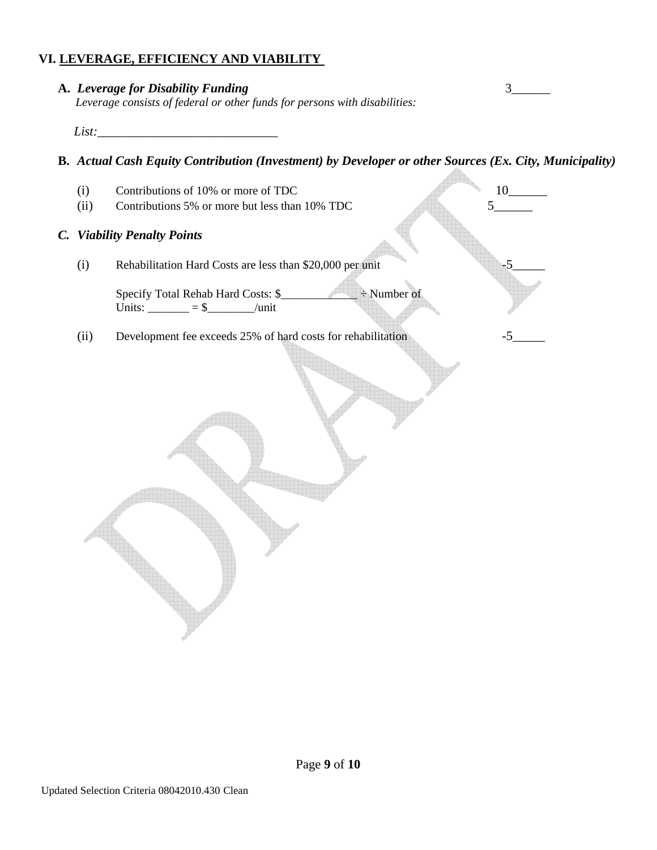## **VI. LEVERAGE, EFFICIENCY AND VIABILITY**

| A. Leverage for Disability Funding                                         |  |
|----------------------------------------------------------------------------|--|
| Leverage consists of federal or other funds for persons with disabilities: |  |
| $List^{\cdot}$                                                             |  |

**B.** *Actual Cash Equity Contribution (Investment) by Developer or other Sources (Ex. City, Municipality)* 

- (i) Contributions of 10% or more of TDC  $10_{-10}$
- (ii) Contributions 5% or more but less than  $10\%$  TDC  $5\_\_$

## *C. Viability Penalty Points*

(i) Rehabilitation Hard Costs are less than \$20,000 per unit -5

 Specify Total Rehab Hard Costs: \$\_\_\_\_\_\_\_\_\_\_\_\_\_ ÷ Number of Units:  $\_\_\_\_\_\_\_=\$ \$ /unit

(ii) Development fee exceeds 25% of hard costs for rehabilitation